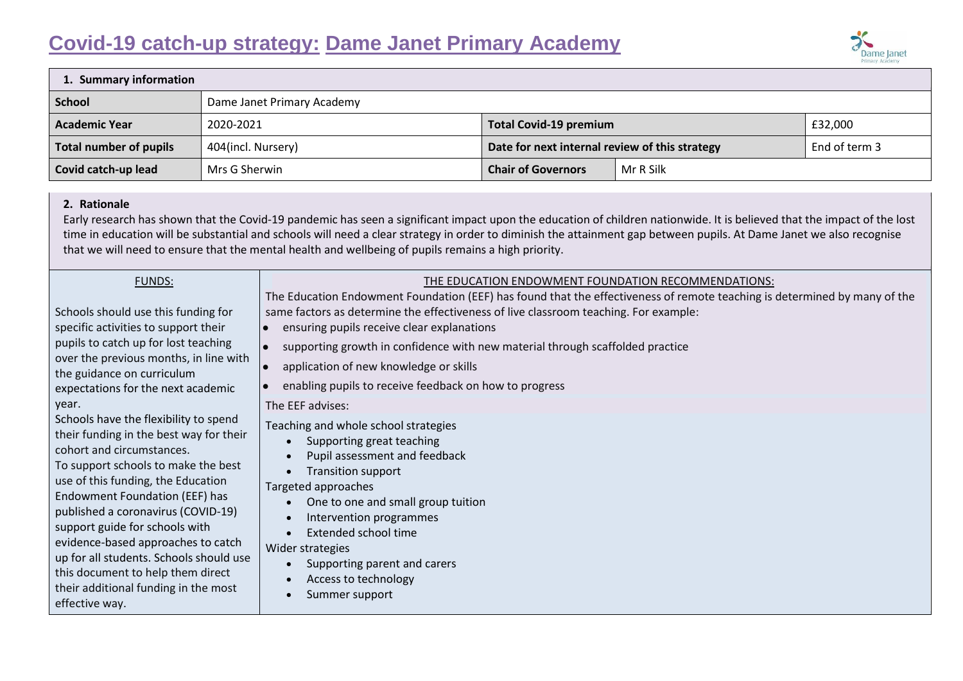# **Covid-19 catch-up strategy: Dame Janet Primary Academy**



| 1. Summary information |                            |                                                |           |               |
|------------------------|----------------------------|------------------------------------------------|-----------|---------------|
| <b>School</b>          | Dame Janet Primary Academy |                                                |           |               |
| <b>Academic Year</b>   | 2020-2021                  | <b>Total Covid-19 premium</b>                  |           | £32,000       |
| Total number of pupils | 404(incl. Nursery)         | Date for next internal review of this strategy |           | End of term 3 |
| Covid catch-up lead    | Mrs G Sherwin              | <b>Chair of Governors</b>                      | Mr R Silk |               |

#### **2. Rationale**

Early research has shown that the Covid-19 pandemic has seen a significant impact upon the education of children nationwide. It is believed that the impact of the lost time in education will be substantial and schools will need a clear strategy in order to diminish the attainment gap between pupils. At Dame Janet we also recognise that we will need to ensure that the mental health and wellbeing of pupils remains a high priority.

#### FUNDS:

Schools should use this funding for specific activities to support their pupils to catch up for lost teaching over the previous months, in line with the guidance on [curriculum](https://www.gov.uk/government/publications/actions-for-schools-during-the-coronavirus-outbreak/guidance-for-full-opening-schools#section-3-curriculum-behaviour-and-pastoral-support)  [expectations for the next academic](https://www.gov.uk/government/publications/actions-for-schools-during-the-coronavirus-outbreak/guidance-for-full-opening-schools#section-3-curriculum-behaviour-and-pastoral-support)  [year.](https://www.gov.uk/government/publications/actions-for-schools-during-the-coronavirus-outbreak/guidance-for-full-opening-schools#section-3-curriculum-behaviour-and-pastoral-support)

Schools have the flexibility to spend their funding in the best way for their cohort and circumstances. To support schools to make the best use of this funding, the Education Endowment Foundation (EEF) has published a [coronavirus \(COVID-19\)](https://educationendowmentfoundation.org.uk/covid-19-resources/covid-19-support-guide-for-schools/#nav-covid-19-support-guide-for-schools1)  [support guide for schools](https://educationendowmentfoundation.org.uk/covid-19-resources/covid-19-support-guide-for-schools/#nav-covid-19-support-guide-for-schools1) with evidence-based approaches to catch up for all students. Schools should use this document to help them direct their additional funding in the most effective way.

## THE EDUCATION ENDOWMENT FOUNDATION RECOMMENDATIONS:

The Education Endowment Foundation (EEF) has found that the effectiveness of remote teaching is determined by many of the same factors as determine the effectiveness of live classroom teaching. For example:

- ensuring pupils receive clear explanations
- supporting growth in confidence with new material through scaffolded practice
- application of new knowledge or skills
- enabling pupils to receive feedback on how to progress

The EEF advises:

Teaching and whole school strategies

- Supporting great teaching
- Pupil assessment and feedback
- Transition support

Targeted approaches

- One to one and small group tuition
- Intervention programmes
- Extended school time

Wider strategies

- Supporting parent and carers
- Access to technology
- Summer support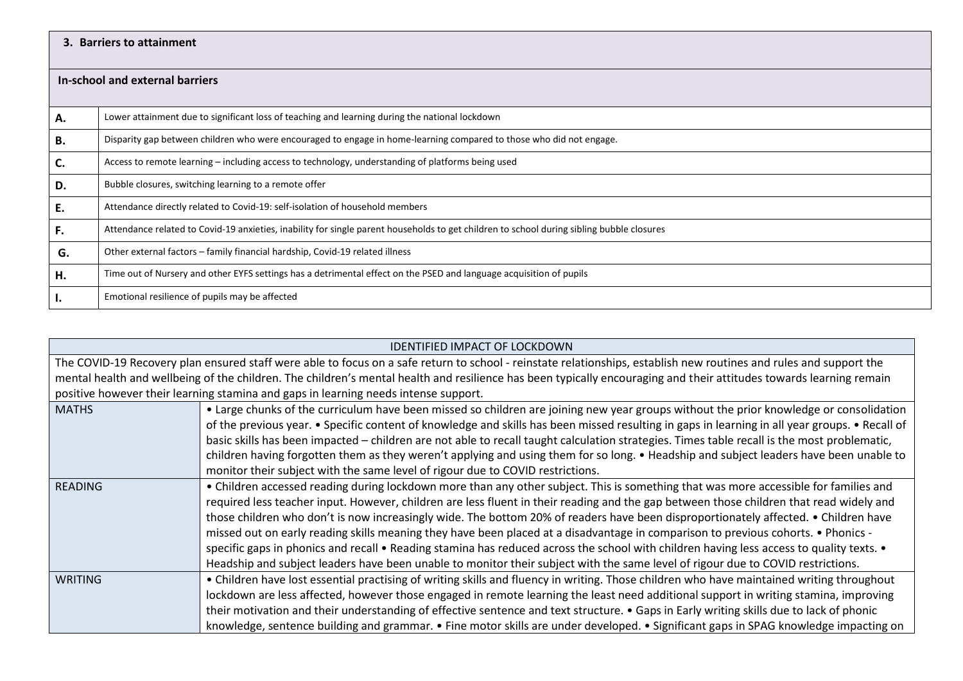### **3. Barriers to attainment**

| In-school and external barriers |                                                                                                                                           |  |  |
|---------------------------------|-------------------------------------------------------------------------------------------------------------------------------------------|--|--|
|                                 |                                                                                                                                           |  |  |
| А.                              | Lower attainment due to significant loss of teaching and learning during the national lockdown                                            |  |  |
| В.                              | Disparity gap between children who were encouraged to engage in home-learning compared to those who did not engage.                       |  |  |
| C.                              | Access to remote learning – including access to technology, understanding of platforms being used                                         |  |  |
| D.                              | Bubble closures, switching learning to a remote offer                                                                                     |  |  |
| E.                              | Attendance directly related to Covid-19: self-isolation of household members                                                              |  |  |
| F.                              | Attendance related to Covid-19 anxieties, inability for single parent households to get children to school during sibling bubble closures |  |  |
| G.                              | Other external factors – family financial hardship, Covid-19 related illness                                                              |  |  |
| Н.                              | Time out of Nursery and other EYFS settings has a detrimental effect on the PSED and language acquisition of pupils                       |  |  |
| п.                              | Emotional resilience of pupils may be affected                                                                                            |  |  |

| <b>IDENTIFIED IMPACT OF LOCKDOWN</b>                                                                                                                                |                                                                                                                                                |  |  |
|---------------------------------------------------------------------------------------------------------------------------------------------------------------------|------------------------------------------------------------------------------------------------------------------------------------------------|--|--|
| The COVID-19 Recovery plan ensured staff were able to focus on a safe return to school - reinstate relationships, establish new routines and rules and support the  |                                                                                                                                                |  |  |
| mental health and wellbeing of the children. The children's mental health and resilience has been typically encouraging and their attitudes towards learning remain |                                                                                                                                                |  |  |
| positive however their learning stamina and gaps in learning needs intense support.                                                                                 |                                                                                                                                                |  |  |
| <b>MATHS</b>                                                                                                                                                        | • Large chunks of the curriculum have been missed so children are joining new year groups without the prior knowledge or consolidation         |  |  |
|                                                                                                                                                                     | of the previous year. • Specific content of knowledge and skills has been missed resulting in gaps in learning in all year groups. • Recall of |  |  |
|                                                                                                                                                                     | basic skills has been impacted - children are not able to recall taught calculation strategies. Times table recall is the most problematic,    |  |  |
|                                                                                                                                                                     | children having forgotten them as they weren't applying and using them for so long. • Headship and subject leaders have been unable to         |  |  |
|                                                                                                                                                                     | monitor their subject with the same level of rigour due to COVID restrictions.                                                                 |  |  |
| READING                                                                                                                                                             | • Children accessed reading during lockdown more than any other subject. This is something that was more accessible for families and           |  |  |
|                                                                                                                                                                     | required less teacher input. However, children are less fluent in their reading and the gap between those children that read widely and        |  |  |
|                                                                                                                                                                     | those children who don't is now increasingly wide. The bottom 20% of readers have been disproportionately affected. • Children have            |  |  |
|                                                                                                                                                                     | missed out on early reading skills meaning they have been placed at a disadvantage in comparison to previous cohorts. • Phonics -              |  |  |
|                                                                                                                                                                     | specific gaps in phonics and recall • Reading stamina has reduced across the school with children having less access to quality texts. •       |  |  |
|                                                                                                                                                                     | Headship and subject leaders have been unable to monitor their subject with the same level of rigour due to COVID restrictions.                |  |  |
| <b>WRITING</b>                                                                                                                                                      | • Children have lost essential practising of writing skills and fluency in writing. Those children who have maintained writing throughout      |  |  |
|                                                                                                                                                                     | lockdown are less affected, however those engaged in remote learning the least need additional support in writing stamina, improving           |  |  |
|                                                                                                                                                                     | their motivation and their understanding of effective sentence and text structure. • Gaps in Early writing skills due to lack of phonic        |  |  |
|                                                                                                                                                                     | knowledge, sentence building and grammar. • Fine motor skills are under developed. • Significant gaps in SPAG knowledge impacting on           |  |  |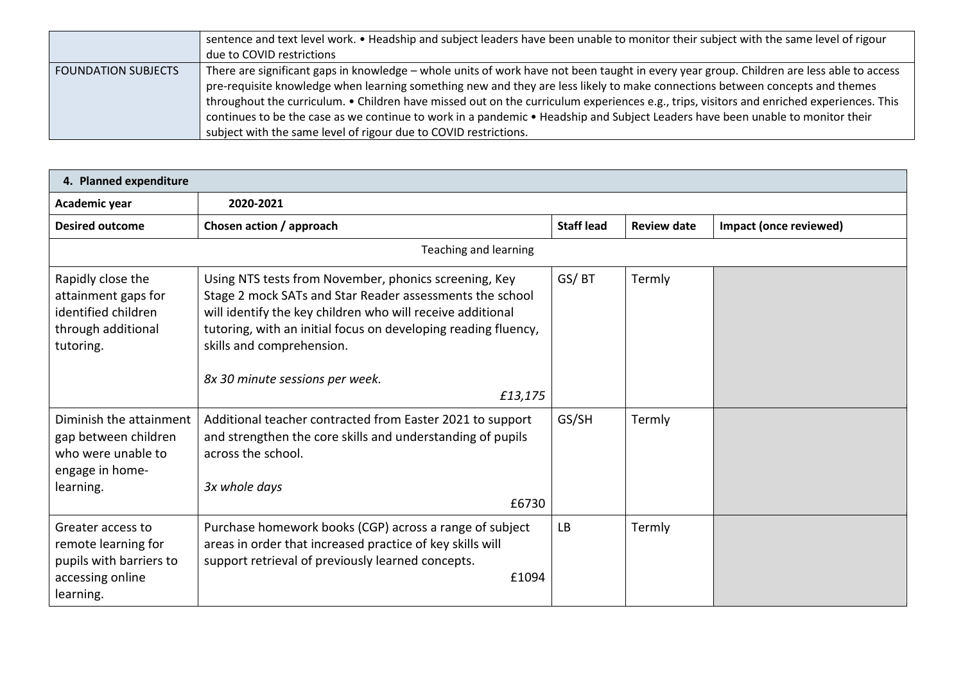|                       | sentence and text level work. • Headship and subject leaders have been unable to monitor their subject with the same level of rigour     |  |  |
|-----------------------|------------------------------------------------------------------------------------------------------------------------------------------|--|--|
|                       | due to COVID restrictions                                                                                                                |  |  |
| l FOUNDATION SUBJECTS | There are significant gaps in knowledge – whole units of work have not been taught in every year group. Children are less able to access |  |  |
|                       | pre-requisite knowledge when learning something new and they are less likely to make connections between concepts and themes             |  |  |
|                       | throughout the curriculum. • Children have missed out on the curriculum experiences e.g., trips, visitors and enriched experiences. This |  |  |
|                       | continues to be the case as we continue to work in a pandemic • Headship and Subject Leaders have been unable to monitor their           |  |  |
|                       | subject with the same level of rigour due to COVID restrictions.                                                                         |  |  |

| 4. Planned expenditure                                                                               |                                                                                                                                                                                                                                                                                |                   |                    |                        |
|------------------------------------------------------------------------------------------------------|--------------------------------------------------------------------------------------------------------------------------------------------------------------------------------------------------------------------------------------------------------------------------------|-------------------|--------------------|------------------------|
| Academic year                                                                                        | 2020-2021                                                                                                                                                                                                                                                                      |                   |                    |                        |
| <b>Desired outcome</b>                                                                               | Chosen action / approach                                                                                                                                                                                                                                                       | <b>Staff lead</b> | <b>Review date</b> | Impact (once reviewed) |
| <b>Teaching and learning</b>                                                                         |                                                                                                                                                                                                                                                                                |                   |                    |                        |
| Rapidly close the<br>attainment gaps for<br>identified children<br>through additional<br>tutoring.   | Using NTS tests from November, phonics screening, Key<br>Stage 2 mock SATs and Star Reader assessments the school<br>will identify the key children who will receive additional<br>tutoring, with an initial focus on developing reading fluency,<br>skills and comprehension. | GS/BT             | Termly             |                        |
|                                                                                                      | 8x 30 minute sessions per week.<br>£13,175                                                                                                                                                                                                                                     |                   |                    |                        |
| Diminish the attainment<br>gap between children<br>who were unable to<br>engage in home-             | Additional teacher contracted from Easter 2021 to support<br>and strengthen the core skills and understanding of pupils<br>across the school.                                                                                                                                  | GS/SH             | Termly             |                        |
| learning.                                                                                            | 3x whole days<br>£6730                                                                                                                                                                                                                                                         |                   |                    |                        |
| Greater access to<br>remote learning for<br>pupils with barriers to<br>accessing online<br>learning. | Purchase homework books (CGP) across a range of subject<br>areas in order that increased practice of key skills will<br>support retrieval of previously learned concepts.<br>£1094                                                                                             | <b>LB</b>         | Termly             |                        |